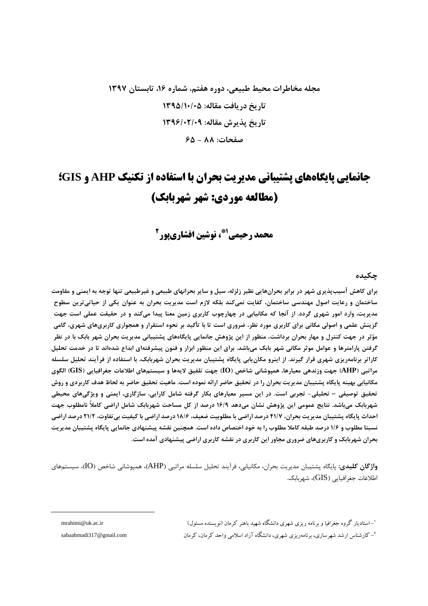## مجله مخاطرات محیط طبیعی، دوره هفتم، شماره ۱۶، تابستان ۱۳۹۷ تاریخ دریافت مقاله: ۱۳۹۵/۱۰/۰۵ تاريخ پذيرش مقاله: ١٣٩۶/٠٢/٠٩ صفحات: ۸۸ - ۶۵

# جانمایی پایگاههای پشتیبانی مدیریت بحران با استفاده از تکنیک AHP و GIS؛ (مطالعه موردي: شهر شهر بابك)

محمد رحيمي <sup>21</sup>، نوشين افشاري يور<sup>2</sup>

#### جكىدە

برای کاهش آسیبپذیری شهر در برابر بحرانهایی نظیر زلزله، سیل و سایر بحرانهای طبیعی و غیرطبیعی تنها توجه به ایمنی و مقاومت ساختمان و رعایت اصول مهندسی ساختمان، کفایت نمیکند بلکه لازم است مدیریت بحران به عنوان یکی از حیاتیترین سطوح مدیریت، وارد امور شهری گردد. از آنجا که مکانیابی در چهارچوب کاربری زمین معنا پیدا میکند و در حقیقت عملی است جهت گزینش علمی و اصولی مکانی برای کاربری مورد نظر، ضروری است تا با تأکید بر نحوه استقرار و همجواری کاربریهای شهری، گامی مؤثر در جهت کنترل و مهار بحران برداشت. منظور از این پژوهش جانمایی پایگاههای پشتیبانی مدیریت بحران شهر بابک با در نظر گرفتن پارامترها و عوامل موثر مکانی شهر بابک میباشد. برای این منظور ابزار و فنون پیشرفتهای ابداع شدهاند تا در خدمت تحلیل کاراتر برنامەریزی شهری قرار گیرند. از اینرو مکان یابی پایگاه پشتیبان مدیریت بحران شهربابک، با استفاده از فرآیند تحلیل سلسله مراتبي (AHP) جهت وزندهي معيارها، همپوشاني شاخص (IO) جهت تلفيق لايهها و سيستمهاي اطلاعات جغرافيايي (GIS) الگوي مکانیابی بهینه پایگاه پشتیبان مدیریت بحران را در تحقیق حاضر ارائه نموده است. ماهیت تحقیق حاضر به لحاظ هدف کاربردی و روش تحقیق توصیفی – تحلیلی- تجربی است. در این مسیر معیارهای بکار گرفته شامل کارایی، سازگاری، ایمنی و ویژگیهای محیطی شهربابک میباشد. نتایج عمومی این پژوهش نشان میدهد ۱۶/۹ درصد از کل مساحت شهربابک شامل اراضی کاملاً نامطلوب جهت احداث پایگاه پشتیبان مدیریت بحران، ۴۱/۷ درصد اراضی با مطلوبیت ضعیف، ۱۸/۶ درصد اراضی با کیفیت بی تفاوت، ۲۱/۲ درصد اراضی نسبتا مطلوب و ۱/۶ درصد طبقه کاملا مطلوب را به خود اختصاص داده است. همچنین نقشه پیشنهادی جانمایی پایگاه پشتیبان مدیریت بحران شهربابک و کاربریهای ضروری مجاور این کاربری در نقشه کاربری اراضی پیشنهادی آمده است.

و**اژگان کلیدی**: پایگاه پشتیبان مدیریت بحران، مکانیابی، فرآیند تحلیل سلسله مراتبی (AHP)، همپوشانی شاخص (IO)، سیستمهای اطلاعات جغرافیایی (GIS)، شھربابک.

'–استادیار گروه جغرافیا و برنامه ریزی شهری دانشگاه شهید باهنر کرمان (نویسنده مسئول)

<sup>۲</sup>– کارشناس ارشد شهر سازی، برنامه٫ یزی شهری، دانشگاه آزاد اسلامی واحد کرمان، کرمان

mrahimi@uk.ac.ir

sabaahmadi317@gmail.com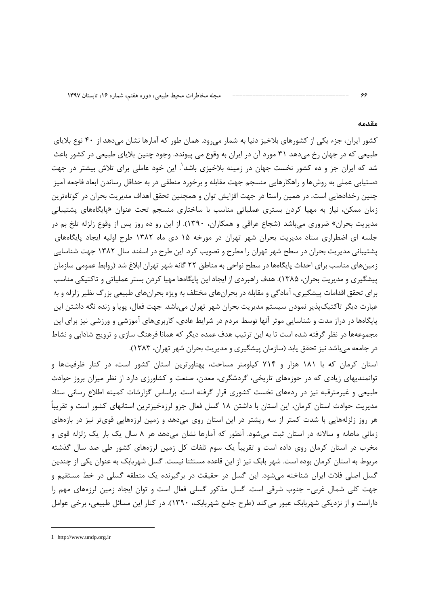#### مقدمه

ءء

کشور ایران، جزء یکی از کشورهای بلاخیز دنیا به شمار می رود. همان طور که آمارها نشان می دهد از ۴۰ نوع بلایای طبیعی که در جهان رخ میدهد ۳۱ مورد آن در ایران به وقوع می پیوندد. وجود چنین بلایای طبیعی در کشور باعث شد که ایران جز و ده کشور نخست جهان در زمینه بلاخیزی باشد'. این خود عاملی برای تلاش بیشتر در جهت دستیابی عملی به روشها و راهکارهایی منسجم جهت مقابله و برخورد منطقی در به حداقل رساندن ابعاد فاجعه آمیز چنین رخدادهایی است. در همین راستا در جهت افزایش توان و همچنین تحقق اهداف مدیریت بحران در کوتاهترین زمان ممکن، نیاز به مهیا کردن بستری عملیاتی مناسب با ساختاری منسجم تحت عنوان «پایگاههای پشتیبانی مدیریت بحران» ضروری میباشد (شجاع عراقی و همکاران، ۱۳۹۰). از این رو ده روز پس از وقوع زلزله تلخ بم در جلسه ای اضطراری ستاد مدیریت بحران شهر تهران در مورخه ۱۵ دی ماه ۱۳۸۲ طرح اولیه ایجاد پایگاههای پشتیبانی مدیریت بحران در سطح شهر تهران را مطرح و تصویب کرد. این طرح در اسفند سال ۱۳۸۲ جهت شناسایی زمینهای مناسب برای احداث پایگاهها در سطح نواحی به مناطق ۲۲ گانه شهر تهران ابلاغ شد (روابط عمومی سازمان ییشگیری و مدیریت بحران، ۱۳۸۵). هدف راهبردی از ایجاد این پایگاهها مهیا کردن بستر عملیاتی و تاکتیکی مناسب برای تحقق اقدامات پیشگیری، آمادگی و مقابله در بحرانهای مختلف به ویژه بحرانهای طبیعی بزرگ نظیر زلزله و به عبارت دیگر تاکتیکپذیر نمودن سیستم مدیریت بحران شهر تهران میباشد. جهت فعال، پویا و زنده نگه داشتن این پایگاهها در دراز مدت و شناسایی موثر آنها توسط مردم در شرایط عادی، کاربریهای آموزشی و ورزشی نیز برای این مجموعهها در نظر گرفته شده است تا به این ترتیب هدف عمده دیگر که همانا فرهنگ سازی و ترویج شادابی و نشاط در جامعه می باشد نیز تحقق یابد (سازمان پیشگیری و مدیریت بحران شهر تهران، ۱۳۸۳).

استان کرمان که با ۱۸۱ هزار و ۷۱۴ کیلومتر مساحت، پهناورترین استان کشور است، در کنار ظرفیتها و توانمندیهای زیادی که در حوزههای تاریخی، گردشگری، معدن، صنعت و کشاورزی دارد از نظر میزان بروز حوادث طبیعی و غیرمترقبه نیز در ردههای نخست کشوری قرار گرفته است. براساس گزارشات کمیته اطلاع رسانی ستاد مدیریت حوادث استان کرمان، این استان با داشتن ۱۸ گسل فعال جزو لرزهخیزترین استانهای کشور است و تقریباً هر روز زلزلههایی با شدت کمتر از سه ریشتر در این استان روی میدهد و زمین لرزههایی قویتر نیز در بازههای زمانی ماهانه و سالانه در استان ثبت میشود. آنطور که آمارها نشان میدهد هر ۸ سال یک بار یک زلزله قوی و مخرب در استان کرمان روی داده است و تقریباً یک سوم تلفات کل زمین لرزههای کشور طی صد سال گذشته مربوط به استان کرمان بوده است. شهر بابک نیز از این قاعده مستثنا نیست. گسل شهربابک به عنوان یکی از چندین گسل اصلی فلات ایران شناخته می شود. این گسل در حقیقت در برگیرنده یک منطقه گسلی در خط مستقیم و جهت کلی شمال غربی- جنوب شرقی است. گسل مذکور گسلی فعال است و توان ایجاد زمین لرزههای مهم را داراست و از نزدیکی شهربابک عبور می کند (طرح جامع شهربابک، ۱۳۹۰). در کنار این مسائل طبیعی، برخی عوامل

<sup>1-</sup> http://www.undp.org.ir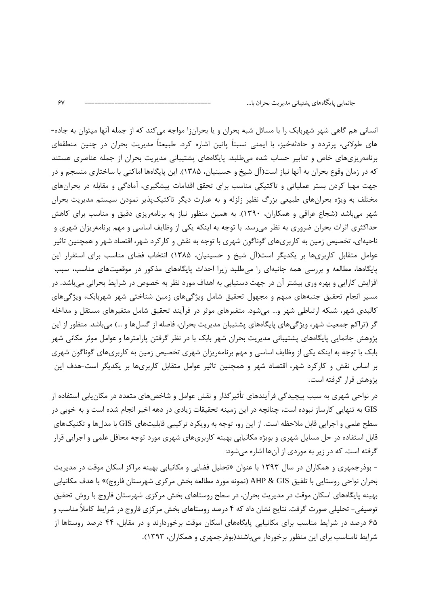انسانی هم گاهی شهر شهربابک را با مسائل شبه بحران و یا بحرانزا مواجه می کند که از جمله آنها میتوان به جاده-های طولانی، پرتردد و حادثهخیز، با ایمنی نسبتاً پائین اشاره کرد. طبیعتاً مدیریت بحران در چنین منطقهای برنامهریزیهای خاص و تدابیر حساب شده میطلبد. پایگاههای پشتیبانی مدیریت بحران از جمله عناصری هستند که در زمان وقوع بحران به آنها نیاز است(آل شیخ و حسینیان، ۱۳۸۵). این پایگاهها اماکنی با ساختاری منسجم و در جهت مهیا کردن بستر عملیاتی و تاکتیکی مناسب برای تحقق اقدامات پیشگیری، آمادگی و مقابله در بحرانهای مختلف به ویژه بحرانهای طبیعی بزرگ نظیر زلزله و به عبارت دیگر تاکتیکپذیر نمودن سیستم مدیریت بحران شهر می باشد (شجاع عراقی و همکاران، ۱۳۹۰). به همین منظور نیاز به برنامهریزی دقیق و مناسب برای کاهش حداکثری اثرات بحران ضروری به نظر میرسد. با توجه به اینکه یکی از وظایف اساسی و مهم برنامهریزان شهری و ناحیهای، تخصیص زمین به کاربریهای گوناگون شهری با توجه به نقش و کارکرد شهر، اقتصاد شهر و همچنین تاثیر عوامل متقابل کاربریها بر یکدیگر است(آل شیخ و حسینیان، ۱۳۸۵) انتخاب فضای مناسب برای استقرار این پایگاهها، مطالعه و بررسی همه جانبهای را میطلبد زیرا احداث پایگاههای مذکور در موقعیتهای مناسب، سبب افزایش کارایی و بهره وری بیشتر آن در جهت دستیابی به اهداف مورد نظر به خصوص در شرایط بحرانی میباشد. در مسیر انجام تحقیق جنبههای مبهم و مجهول تحقیق شامل ویژگیهای زمین شناختی شهر شهربابک، ویژگیهای کالبدی شهر، شبکه ارتباطی شهر و… میشود. متغیرهای موثر در فرآیند تحقیق شامل متغیرهای مستقل و مداخله گر (تراکم جمعیت شهر، ویژگی های پایگاههای پشتیبان مدیریت بحران، فاصله از گسلها و …) می باشد. منظور از این پژوهش جانمایی پایگاههای پشتیبانی مدیریت بحران شهر بابک با در نظر گرفتن پارامترها و عوامل موثر مکانی شهر بابک با توجه به اینکه یکی از وظایف اساسی و مهم برنامهریزان شهری تخصیص زمین به کاربریهای گوناگون شهری بر اساس نقش و کارکرد شهر، اقتصاد شهر و همچنین تاثیر عوامل متقابل کاربریها بر یکدیگر است-هدف این یژوهش قرار گرفته است.

در نواحی شهری به سبب پیچیدگی فرآیندهای تأثیرگذار و نقش عوامل و شاخصهای متعدد در مکان یابی استفاده از GIS به تنهایی کارساز نبوده است، چنانچه در این زمینه تحقیقات زیادی در دهه اخیر انجام شده است و به خوبی در سطح علمی و اجرایی قابل ملاحظه است. از این رو، توجه به رویکرد ترکیبی قابلیتهای GIS با مدلها و تکنیکهای قابل استفاده در حل مسایل شهری و بویژه مکانیابی بهینه کاربریهای شهری مورد توجه محافل علمی و اجرایی قرار گرفته است. که در زیر به موردی از آنها اشاره میشود:

- بوذرجمهری و همکاران در سال ۱۳۹۳ با عنوان «تحلیل فضایی و مکانیابی بهینه مراکز اسکان موقت در مدیریت بحران نواحي روستايي با تلفيق AHP & GIS (نمونه مورد مطالعه بخش مركزي شهرستان فاروج)» با هدف مكانيابي بهینه پایگاههای اسکان موقت در مدیریت بحران، در سطح روستاهای بخش مرکزی شهرستان فاروج با روش تحقیق توصیفی- تحلیلی صورت گرفت. نتایج نشان داد که ۴ درصد روستاهای بخش مرکزی فاروج در شرایط کاملاً مناسب و ۶۵ درصد در شرایط مناسب برای مکانیابی پایگاههای اسکان موقت برخوردارند و در مقابل، ۴۴ درصد روستاها از شرایط نامناسب برای این منظور برخوردار میباشند(بوذرجمهری و همکاران، ۱۳۹۳).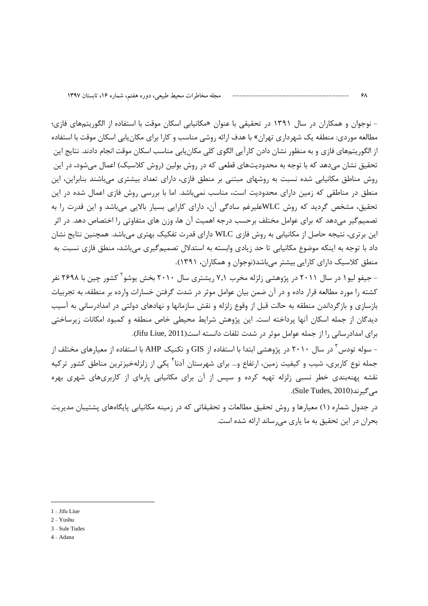- نوجوان و همکاران در سال ۱۳۹۱ در تحقیقی با عنوان «مکانیابی اسکان موقت با استفاده از الگوریتمهای فازی؛ مطالعه موردی: منطقه یک شهرداری تهران» با هدف ارائه روشی مناسب و کارا برای مکان یابی اسکان موقت با استفاده از الگوریتمهای فازی و به منظور نشان دادن کارآیی الگوی کلی مکان بابی مناسب اسکان موقت انجام دادند. نتایج این تحقیق نشان میدهد که با توجه به محدودیتهای قطعی که در روش بولین (روش کلاسیک) اعمال میشود، در این روش مناطق مکانیایی شده نسبت به روشهای مبتنی بر منطق فازی، دارای تعداد بیشتری می باشند بنابراین، این منطق در مناطقی که زمین دارای محدودیت است، مناسب نمے باشد. اما با بررسی روش فازی اعمال شده در این تحقیق، مشخص گردید که روش WLCعلیرغم سادگی آن، دارای کارایی بسیار بالایی میباشد و این قدرت را به تصمیم گیر میدهد که برای عوامل مختلف برحسب درجه اهمیت آن ها، وزن های متفاوتی را اختصاص دهد. در اثر این برتری، نتیجه حاصل از مکانیابی به روش فازی WLC دارای قدرت تفکیک بهتری میباشد. همچنین نتایج نشان داد با توجه به اینکه موضوع مکانیابی تا حد زیادی وابسته به استدلال تصمیمگیری میباشد، منطق فازی نسبت به منطق کلاسیک دارای کارایی بیشتر میباشد(نوجوان و همکاران، ۱۳۹۱).

- جیفو لیو۱ در سال ۲۰۱۱ در پژوهشی زلزله مخرب ۷٫۱ ریشتری سال ۲۰۱۰ بخش یوشو ککشور چین با ۲۶۹۸ نفر کشته را مورد مطالعه قرار داده و در آن ضمن بیان عوامل موثر در شدت گرفتن خسارات وارده بر منطقه، به تجربیات بازسازی و بازگرداندن منطقه به حالت قبل از وقوع زلزله و نقش سازمانها و نهادهای دولتی در امدادرسانی به آسیب دیدگان از جمله اسکان آنها پرداخته است. این پژوهش شرایط محیطی خاص منطقه و کمبود امکانات زیرساختی برای امدادرسانی را از جمله عوامل موثر در شدت تلفات دانسته است(Jifu Liue, 2011).

– سوله تودس ّ در سال ۲۰۱۰ در پژوهشی ابتدا با استفاده از GIS و تکنیک AHP با استفاده از معیارهای مختلف از جمله نوع کاربری، شیب و کیفیت زمین، ارتفاع و… برای شهرستان آدنا<sup>۲</sup> یکی از زلزلهخیزترین مناطق کشور ترکیه نقشه پهنهبندی خطر نسبی زلزله تهیه کرده و سپس از آن برای مکانیابی پارهای از کاربریهای شهری بهره مے گیرند(Sule Tudes, 2010).

در جدول شماره (۱) معیارها و روش تحقیق مطالعات و تحقیقاتی که در زمینه مکانیابی پایگاههای پشتیبان مدیریت بحران در این تحقیق به ما یاری می رساند ارائه شده است.

- 1 Jifu Liue
- $2 Yushu$
- 3 Sule Tudes
- 4 Adana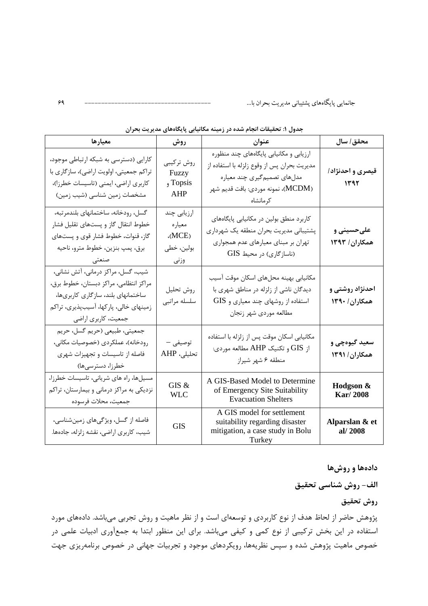| معيارها                                                                                                                                                                             | روش                                                  | عنوان                                                                                                                                                                     | محقق/ سال                        |
|-------------------------------------------------------------------------------------------------------------------------------------------------------------------------------------|------------------------------------------------------|---------------------------------------------------------------------------------------------------------------------------------------------------------------------------|----------------------------------|
| کارایی (دسترسی به شبکه ارتباطی موجود،<br>تراکم جمعیتی، اولویت اراضی)، سازگاری با<br>كاربري اراضي، ايمني (تاسيسات خطرزا)،<br>مشخصات زمین شناسی (شیب زمین)                            | روش تركيبي<br>Fuzzy<br>Topsis و<br>AHP               | ارزیابی و مکانیابی پایگاههای چند منظوره<br>مدیریت بحران پس از وقوع زلزله با استفاده از<br>مدلهای تصمیم گیری چند معیاره<br>(MCDM)، نمونه موردي: بافت قديم شهر<br>کر مانشاہ | قیصری و احدنژاد/<br>1197         |
| گسل، رودخانه، ساختمانهای بلندمرتبه،<br>خطوط انتقال گاز و پستهای تقلیل فشار<br>گاز، قنوات، خطوط فشار قوی و پستهای<br>برق، پمپ بنزين، خطوط مترو، ناحيه<br>صنعتی                       | ارزیابی چند<br>معياره<br>(MCE)<br>بولين، خطي<br>وزنى | کاربرد منطق بولین در مکانیابی پایگاههای<br>پشتیبانی مدیریت بحران منطقه یک شهرداری<br>تهران بر مبنای معیارهای عدم همجواری<br>(ناسازگاری) در محیط GIS                       | علىحسينى و<br>همکاران/ ۱۳۹۳      |
| شیب، گسل، مراکز درمانی، آتش نشانی،<br>مراكز انتظامى، مراكز دبستان، خطوط برق،<br>ساختمانهای بلند، سازگاری کاربریها،<br>زمینهای خالی، پارکها، آسیبپذیری، تراکم<br>جمعیت، کاربری اراضی | روش تحليل<br>سلسله مراتبي                            | مكانيابي بهينه محلهاى اسكان موقت آسيب<br>دیدگان ناشی از زلزله در مناطق شهری با<br>استفاده از روشهای چند معیاری و GIS<br>مطالعه موردي شهر زنجان                            | احدنژاد روشتی و<br>همكاران/ ١٣٩٠ |
| جمعيتي، طبيعي (حريم گسل، حريم<br>رودخانه)، عملکردی (خصوصیات مکانی،<br>فاصله از تاسیسات و تجهیزات شهری<br>خطرزا، دسترسیها)                                                           | توصيفى –<br>تحليلى، AHP                              | مکانیابی اسکان موقت پس از زلزله با استفاده<br>از GIS و تكنيك AHP مطالعه موردي:<br>منطقه ۶ شهر شيراز                                                                       | سعید گیوهچی و<br>همكاران/ ١٣٩١   |
| مسیلها، راه های شریانی، تاسیسات خطرزا،<br>نزدیکی به مراکز درمانی و بیمارستان، تراکم<br>جمعيت، محلات فرسوده                                                                          | GIS &<br><b>WLC</b>                                  | A GIS-Based Model to Determine<br>of Emergency Site Suitability<br><b>Evacuation Shelters</b>                                                                             | Hodgson &<br>Kar/2008            |
| فاصله از گسل، ویژگیهای زمینشناسی،<br>شیب، کاربری اراضی، نقشه زلزله، جادهها.                                                                                                         | <b>GIS</b>                                           | A GIS model for settlement<br>suitability regarding disaster<br>mitigation, a case study in Bolu<br>Turkey                                                                | Alparslan & et<br>al/2008        |

جدول ۱: تحقیقات انجام شده در زمینه مکانیابی پایگاههای مدیریت بحران

دادهها و روشها

الف- روش شناسي تحقيق

روش تحقيق

پژوهش حاضر از لحاظ هدف از نوع کاربردی و توسعهای است و از نظر ماهیت و روش تجربی میباشد. دادههای مورد استفاده در این بخش ترکیبی از نوع کمی و کیفی میباشد. برای این منظور ابتدا به جمعآوری ادبیات علمی در خصوص ماهیت پژوهش شده و سپس نظریهها، رویکردهای موجود و تجربیات جهانی در خصوص برنامهریزی جهت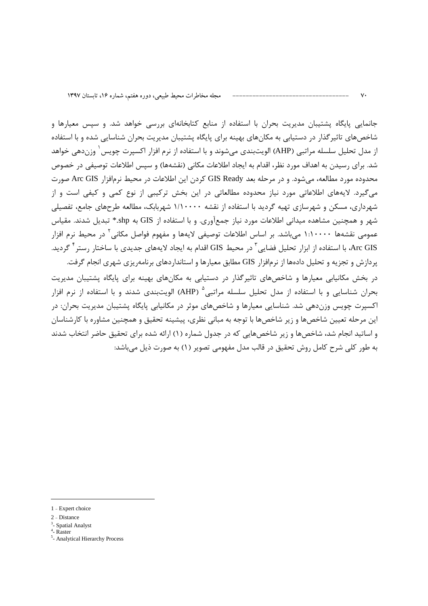جانمایی پایگاه پشتیبان مدیریت بحران با استفاده از منابع کتابخانهای بررسی خواهد شد. و سپس معیارها و شاخصهای تاثیر گذار در دستیابی به مکانهای بهینه برای پایگاه پشتیبان مدیریت بحران شناسایی شده و با استفاده از مدل تحلیل سلسله مراتبی (AHP) الویتبندی میشوند و با استفاده از نرم افزار اکسپرت چویس ٰ وزندهی خواهد شد. برای رسیدن به اهداف مورد نظر، اقدام به ایجاد اطلاعات مکانی (نقشهها) و سپس اطلاعات توصیفی در خصوص محدوده مورد مطالعه، می شود. و در مرحله بعد GIS Ready کردن این اطلاعات در محیط نرمافزار Arc GIS صورت می گیرد. لایههای اطلاعاتی مورد نیاز محدوده مطالعاتی در این بخش ترکیبی از نوع کمی و کیفی است و از شهرداری، مسکن و شهرسازی تهیه گردید با استفاده از نقشه ۱/۱۰۰۰۰ شهربابک، مطالعه طرحهای جامع، تفصیلی شهر و همچنین مشاهده میدانی اطلاعات مورد نیاز جمعآوری. و با استفاده از GIS به Shp.\* تبدیل شدند. مقیاس عمومی نقشهها ۱:۱۰۰۰۰ می!شد. بر اساس اطلاعات توصیفی لایهها و مفهوم فواصل مکانی<sup>۲</sup> در محیط نرم افزار Arc GIS، با استفاده از ابزار تحلیل فضایی آ در محیط GIS اقدام به ایجاد لایههای جدیدی با ساختار رستر <sup>۲</sup> گردید. پردازش و تجزیه و تحلیل دادهها از نرمافزار GIS مطابق معیارها و استانداردهای برنامهریزی شهری انجام گرفت.

در بخش مکانیابی معیارها و شاخصهای تاثیرگذار در دستیابی به مکانهای بهینه برای پایگاه پشتیبان مدیریت بحران شناسایی و با استفاده از مدل تحلیل سلسله مراتبی<sup>ه</sup> (AHP) الویتبندی شدند و با استفاده از نرم افزار اکسیرت چوپس وزندهی شد. شناسایی معیارها و شاخصهای موثر در مکانیایی پایگاه پشتیبان مدیریت بحران: در این مرحله تعیین شاخصها و زیر شاخصها با توجه به مبانی نظری، پیشینه تحقیق و همچنین مشاوره با کارشناسان و اساتید انجام شد، شاخصها و زیر شاخصهایی که در جدول شماره (۱) ارائه شده برای تحقیق حاضر انتخاب شدند به طور كلي شرح كامل روش تحقيق در قالب مدل مفهومي تصوير (١) به صورت ذيل مي باشد:

<sup>1 -</sup> Expert choice

<sup>2 -</sup> Distance

<sup>&</sup>lt;sup>3</sup>- Spatial Analyst

 $4 -$ Raster

<sup>&</sup>lt;sup>5</sup>- Analytical Hierarchy Process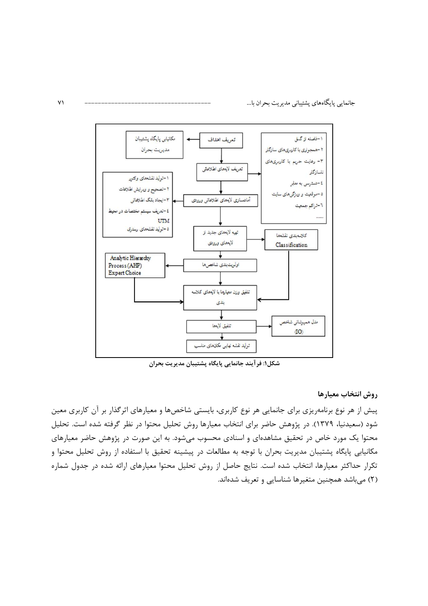

شكل۱: فر آیند جانمایی پایگاه پشتیبان مدیریت بحران

روش انتخاب معيارها

پیش از هر نوع برنامهریزی برای جانمایی هر نوع کاربری، بایستی شاخصها و معیارهای اثرگذار بر آن کاربری معین شود (سعیدنیا، ۱۳۷۹). در پژوهش حاضر برای انتخاب معیارها روش تحلیل محتوا در نظر گرفته شده است. تحلیل محتوا یک مورد خاص در تحقیق مشاهدهای و اسنادی محسوب میشود. به این صورت در پژوهش حاضر معیارهای مکانیابی پایگاه پشتیبان مدیریت بحران با توجه به مطالعات در پیشینه تحقیق با استفاده از روش تحلیل محتوا و تکرار حداکثر معیارها، انتخاب شده است. نتایج حاصل از روش تحلیل محتوا معیارهای ارائه شده در جدول شماره (۲) میباشد همچنین متغیرها شناسایی و تعریف شدهاند.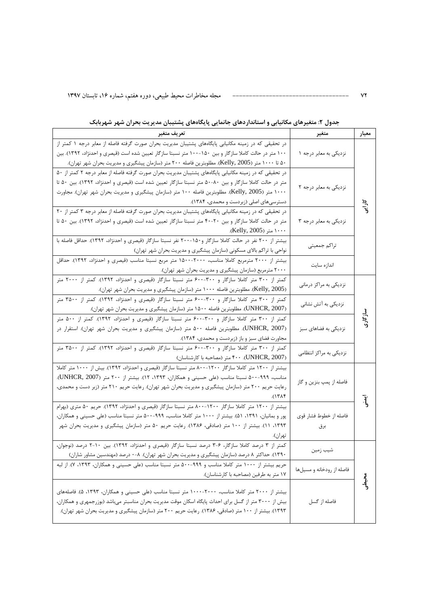| تعريف متغير                                                                                               | متغير                     | معيار                |
|-----------------------------------------------------------------------------------------------------------|---------------------------|----------------------|
| در تحقیقی که در زمینه مکانیابی پایگاههای پشتیبان مدیریت بحران صورت گرفته فاصله از معابر درجه ۱ کمتر از    |                           |                      |
| ۱۰۰ متر در حالت کاملا سازگار و بین ۱۵۰-۱۰۰ متر نسبتا سازگار تعیین شده است (قیصری و احدنژاد، ۱۳۹۲). بین    | نزدیکی به معابر درجه ۱    |                      |
| ۵۰ تا ۱۰۰۰ متر (Kelly, 2005). مطلوبترین فاصله ۲۰۰ متر (سازمان پیشگیری و مدیریت بحران شهر تهران).          |                           |                      |
| در تحقیقی که در زمینه مکانیابی پایگاههای پشتیبان مدیریت بحران صورت گرفته فاصله از معابر درجه ۲ کمتر از ۵۰ |                           |                      |
| متر در حالت کاملا سازگار و بین ۸۰-۵۰ متر نسبتا سازگار تعیین شده است (قیصری و احدنژاد، ۱۳۹۲). بین ۵۰ تا    |                           |                      |
| ۱۰۰۰ متر (Kelly, 2005). مطلوبترین فاصله ۱۰۰ متر (سازمان پیشگیری و مدیریت بحران شهر تهران). مجاورت         | نزدیکی به معابر درجه ۲    |                      |
| دسترسی های اصلی (زبردست و محمدی، ۱۳۸۴).                                                                   |                           |                      |
| در تحقیقی که در زمینه مکانیابی پایگاههای پشتیبان مدیریت بحران صورت گرفته فاصله از معابر درجه ۳ کمتر از ۲۰ |                           | کارانے               |
| متر در حالت کاملا سازگار و بین ۲۰-۴۰ متر نسبتا سازگار تعیین شده است (قیصری و احدنژاد، ۱۳۹۲). بین ۵۰ تا    | نزدیکی به معابر درجه ۳    |                      |
| ۱۰۰۰ متر (Kelly, 2005).                                                                                   |                           |                      |
| بیشتر از ۲۰۰ نفر در حالت کاملا سازگار و۱۵۰-۲۰۰ نفر نسبتا سازگار (قیصری و احدنژاد، ۱۳۹۲). حداقل فاصله با   |                           |                      |
| نواحی با تراکم بالای مسکونی (سازمان پیشگیری و مدیریت بحران شهر تهران)                                     | تراكم جمعيتي              |                      |
| بیشتر از ۲۰۰۰ مترمربع کاملا مناسب، ۲۰۰۰-۱۵۰۰ متر مربع نسبتا مناسب (قیصری و احدنژاد، ۱۳۹۲). حداقل          |                           |                      |
| ۲۰۰۰ مترمربع (سازمان پیشگیری و مدیریت بحران شهر تهران).                                                   | اندازه سايت               |                      |
| کمتر از ۳۰۰ متر کاملا سازگار و ۳۰۰-۶۰۰ متر نسبتا سازگار (قیصری و احدنژاد، ۱۳۹۲). کمتر از ۲۰۰۰ متر         |                           |                      |
| (Kelly, 2005). مطلوبترین فاصله ۱۰۰۰ متر (سازمان پیشگیری و مدیریت بحران شهر تهران).                        | نزدیکی به مراکز درمانی    |                      |
| کمتر از ۳۰۰ متر کاملا سازگار و ۳۰۰-۶۰۰ متر نسبتا سازگار (قیصری و احدنژاد، ۱۳۹۲). کمتر از ۳۵۰۰ متر         |                           |                      |
| (UNHCR, 2007). مطلوبترین فاصله ۱۵۰۰ متر (سازمان پیشگیری و مدیریت بحران شهر تهران).                        | نزدیکی به آتش نشانی       |                      |
| کمتر از ۳۰۰ متر کاملا سازگار و ۳۰۰-۶۰۰ متر نسبتا سازگار (قیصری و احدنژاد، ۱۳۹۲). کمتر از ۵۰۰ متر          |                           | سازگاری              |
| (UNHCR, 2007). مطلوبترین فاصله ۵۰۰ متر (سازمان پیشگیری و مدیریت بحران شهر تهران). استقرار در              | نزدیکی به فضاهای سبز      |                      |
| مجاورت فضای سبز و باز (زبردست و محمدی، ۱۳۸۴).                                                             |                           |                      |
| کمتر از ۳۰۰ متر کاملا سازگار و ۳۰۰-۶۰۰ متر نسبتا سازگار (قیصری و احدنژاد، ۱۳۹۲). کمتر از ۳۵۰۰ متر         |                           |                      |
| (UNHCR, 2007). ۴۰۰ متر (مصاحبه با کارشناسان)                                                              | نزدیکی به مراکز انتظامی   |                      |
| بیشتر از ۱۲۰۰ متر کاملا سازگار ۱۲۰۰-۸۰۰ متر نسبتا سازگار (قیصری و احدنژاد، ۱۳۹۲). بیش از ۱۰۰۰ متر کاملا   |                           |                      |
| مناسب، ۹۹۹-۵۰۰ نسبتا مناسب (علی حسینی و همکاران، ۱۳۹۳، ۱۲). بیشتر از ۲۰۰ متر (UNHCR, 2007).               |                           |                      |
| رعایت حریم ۲۰۰ متر (سازمان پیشگیری و مدیریت بحران شهر تهران). رعایت حریم ۲۱۰ متر (زبر دست و محمدی،        | فاصله از پمپ بنزين و گاز  |                      |
|                                                                                                           |                           |                      |
| بیشتر از ۱۲۰۰ متر کاملا سازگار ۱۲۰۰-۸۰۰ متر نسبتا سازگار (قیصری و احدنژاد، ۱۳۹۲). حریم ۵۰ متری (بهرام     |                           | $\bar{\mathfrak{z}}$ |
| پور و بمانیان، ۱۳۹۱، ۵۱). بیشتر از ۱۰۰۰ متر کاملا مناسب، ۹۹۹-۵۰۰ متر نسبتا مناسب (علی حسینی و همکاران،    | فاصله از خطوط فشار قوى    |                      |
| ۱۳۹۳، ۱۱). بیشتر از ۱۰۰ متر (صادقی، ۱۳۸۶). رعایت حریم ۵۰ متر (سازمان پیشگیری و مدیریت بحران شهر           | برق                       |                      |
|                                                                                                           |                           |                      |
| کمتر از ۳ درصد کاملا سازگار، ۶-۳ درصد نسبتا سازگار (قیصری و احدنژاد، ۱۳۹۲). بین ۲۰-۲ درصد (نوجوان،        |                           |                      |
| ۱۳۹۰). حداکثر ۸ درصد (سازمان پیشگیری و مدیریت بحران شهر تهران). ۸-۰ درصد (مهندسین مشاور شاران)            | شيب زمين                  |                      |
| حریم بیشتر از ۱۰۰۰ متر کاملا مناسب و ۹۹۹-۵۰۰ متر نسبتا مناسب (علی حسینی و همکاران، ۱۳۹۳، ۷). از لبه       |                           |                      |
| ١٧ متر به طرفين (مصاحبه با كارشناسان).                                                                    | فاصله از رودخانه و مسیلها |                      |
|                                                                                                           |                           | محبطى                |
| بیشتر از ۲۰۰۰ متر کاملا مناسب، ۲۰۰۰-۱۰۰۰ متر نسبتا مناسب (علی حسینی و همکاران، ۱۳۹۳، ۵). فاصلههای         |                           |                      |
| بیش از ۳۰۰۰ متر از گسل برای احداث پایگاه اسکان موقت مدیریت بحران مناسبتر میباشد (بوزرجمهری و همکاران،     | فاصله از گسل              |                      |
| ۱۳۹۳). بیشتر از ۱۰۰ متر (صادقی، ۱۳۸۶). رعایت حریم ۲۰۰ متر (سازمان پیشگیری و مدیریت بحران شهر تهران).      |                           |                      |
|                                                                                                           |                           |                      |

#### جدول ۲: متغیرهای مکانیابی و استانداردهای جانمایی پایگاههای پشتیبان مدیریت بحران شهر شهربابک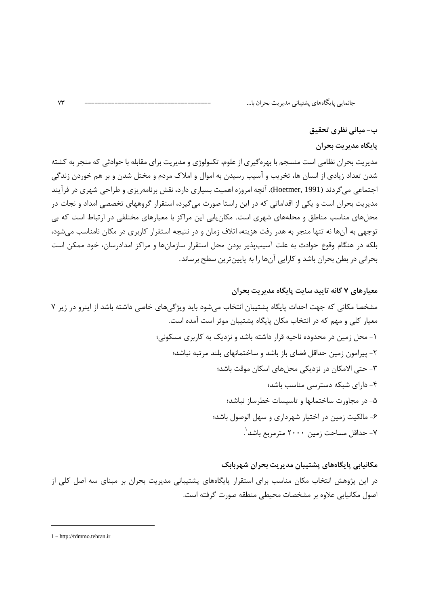ب- مبانی نظری تحقیق

پایگاه مدیریت بحران

مدیریت بحران نظامی است منسجم با بهرهگیری از علوم، تکنولوژی و مدیریت برای مقابله با حوادثی که منجر به کشته شدن تعداد زیادی از انسان ها، تخریب و آسیب رسیدن به اموال و املاک مردم و مختل شدن و بر هم خوردن زندگی اجتماعی می گردند (Hoetmer, 1991). آنچه امروزه اهمیت بسیاری دارد، نقش برنامهریزی و طراحی شهری در فرآیند مدیریت بحران است و یکی از اقداماتی که در این راستا صورت میگیرد، استقرار گروههای تخصصی امداد و نجات در محلهای مناسب مناطق و محلههای شهری است. مکان یابی این مراکز با معیارهای مختلفی در ارتباط است که بی توجهی به آنها نه تنها منجر به هدر رفت هزینه، اتلاف زمان و در نتیجه استقرار کاربری در مکان نامناسب میشود، بلکه در هنگام وقوع حوادث به علت آسیبپذیر بودن محل استقرار سازمانها و مراکز امدادرسان، خود ممکن است بحرانی در بطن بحران باشد و کارایی آنها را به پایینترین سطح برساند.

مكانيابي يايگاههاي پشتيبان مديريت بحران شهربابک در این پژوهش انتخاب مکان مناسب برای استقرار پایگاههای پشتیبانی مدیریت بحران بر مبنای سه اصل کلی از اصول مكانيابي علاوه بر مشخصات محيطى منطقه صورت گرفته است.

<sup>1 -</sup> http://tdmmo.tehran.ir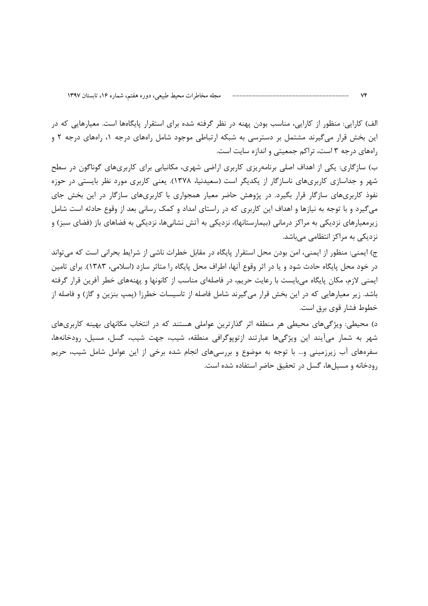الف) کارایی: منظور از کارایی، مناسب بودن پهنه در نظر گرفته شده برای استقرار پایگاهها است. معیارهایی که در این بخش قرار میگیرند مشتمل بر دسترسی به شبکه ارتباطی موجود شامل راههای درجه ۱، راههای درجه ۲ و راههای درجه ۳ است، تراکم جمعیتی و اندازه سایت است.

ب) سازگاری: یکی از اهداف اصلی برنامهریزی کاربری اراضی شهری، مکانیابی برای کاربریهای گوناگون در سطح شهر و جداسازی کاربریهای ناسازگار از یکدیگر است (سعیدنیا، ۱۳۷۸). یعنی کاربری مورد نظر بایستی در حوزه نفوذ کاربریهای سازگار قرار بگیرد. در پژوهش حاضر معیار همجواری با کاربریهای سازگار در این بخش جای می گیرد و با توجه به نیازها و اهداف این کاربری که در راستای امداد و کمک رسانی بعد از وقوع حادثه است شامل زیرمعیارهای نزدیکی به مراکز درمانی (بیمارستانها)، نزدیکی به آتش نشانیها، نزدیکی به فضاهای باز (فضای سبز) و نزدیکی به مراکز انتظامی میباشد.

ج) ایمنی: منظور از ایمنی، امن بودن محل استقرار پایگاه در مقابل خطرات ناشی از شرایط بحرانی است که می تواند در خود محل پایگاه حادث شود و یا در اثر وقوع آنها، اطراف محل پایگاه را متاثر سازد (اسلامی، ۱۳۸۳). برای تامین ایمنی لازم، مکان پایگاه می،بایست با رعایت حریم، در فاصلهای مناسب از کانونها و پهنههای خطر آفرین قرار گرفته باشد. زیر معیارهایی که در این بخش قرار می5یرند شامل فاصله از تاسیسات خطرزا (پمپ بنزین و گاز) و فاصله از خطوط فشار قوى برق است.

د) محیطی: ویژگیهای محیطی هر منطقه اثر گذارترین عواملی هستند که در انتخاب مکانهای بهینه کاربریهای شهر به شمار میآیند این ویژگیها عبارتند ازتوپوگرافی منطقه، شیب، جهت شیب، گسل، مسیل، رودخانهها، سفرههای آب زیرزمینی و… با توجه به موضوع و بررسیهای انجام شده برخی از این عوامل شامل شیب، حریم رودخانه و مسیل ها، گسل در تحقیق حاضر استفاده شده است.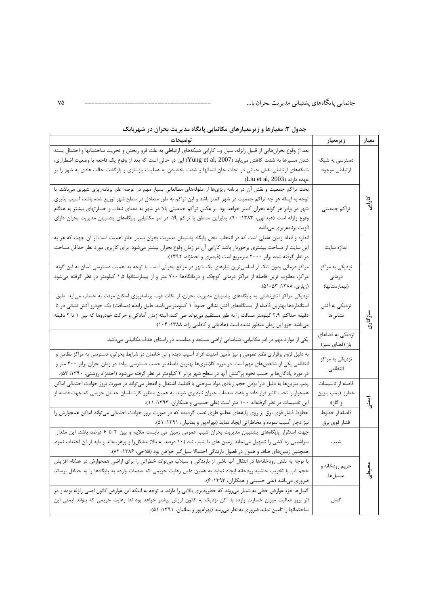جانمایی پایگاههای پشتیبانی مدیریت بحران با...

| توضيحات                                                                                                                                                                                                                                                                                                                                                                                                                                                                                                         | زيرمعيار                                                         | معيار               |
|-----------------------------------------------------------------------------------------------------------------------------------------------------------------------------------------------------------------------------------------------------------------------------------------------------------------------------------------------------------------------------------------------------------------------------------------------------------------------------------------------------------------|------------------------------------------------------------------|---------------------|
| بعد از وقوع بحرانهایی از قبیل زلزله، سیل و… کارایی شبکههای ارتباطی به علت فرو ریختن و تخریب ساختمانها و احتمال بسته<br>شدن مسیرها به شدت کاهش مییابد (Yung et al, 2007) این در حالی است که بعد از وقوع یک فاجعه با وضعیت اضطراری،<br>شبکههای ارتباطی نقش حیاتی در نجات جان انسانها و شدت بخشیدن به عملیات بازسازی و بازگشت حالت عادی به شهر را بر<br>عهده دارند (Liu et al, 2003).                                                                                                                              | دسترسی به شبکه<br>ارتباطي موجود                                  |                     |
| بحث تراکم جمعیت و نقش آن در برنامه ریزیها از مقولههای مطالعاتی بسیار مهم در عرصه علم برنامهریزی شهری میباشد. با<br>توجه به اینکه هر چه تراکم جمعیت در شهر کمتر باشد و این تراکم به طور متعادل در سطح شهر توزیع شده باشد، آسیب پذیری<br>شهر در برابر هر گونه بحران کمتر خواهد بود. بر عکس تراکم جمعیتی بالا در شهر به معنای تلفات و خسارتهای بیشتر به هنگام<br>وقوع زلزله است (عبدالهی، ۱۳۸۳: ۹۰). بنابراین مناطق با تراکم بالا، در امر مکانیابی پایگاههای پشتیبان مدیریت بحران دارای<br>الويت برنامەريزى مىباشد | تراكم جمعيتي                                                     | کاران <del>ے</del>  |
| اندازه و ابعاد زمین عاملی است که در انتخاب محل پایگاه پشتیبان مدیریت بحران بسیار حائز اهمیت است از آن جهت که هر په<br>این سایت از مساحت بیشتری برخوردار باشد کارایی آن در زمان وقوع بحران بیشتر میشود. برای کاربری مورد نظر حداقل مساحت<br>در نظر گرفته شده برابر ۲۰۰۰ مترمربع است (قیصری و احدنژاد، ۱۳۹۲).                                                                                                                                                                                                     | اندازه سايت                                                      |                     |
| مراکز درمانی بدون شک از اساسیترین نیازهای یک شهر در مواقع بحرانی است. با توجه به اهمیت دسترسی آسان به این گونه<br>مراکز، مطلوب ترین فاصله از مراکز درمانی کوچک و درمانگاهها ۷۰۰ متر و از بیمارستانها ۱٫۵ کیلومتر در نظر گرفته میشود<br>(زیاری، ۱۳۸۸: ۵۲–۵۱).                                                                                                                                                                                                                                                    | نزدیکی به مراکز<br>درمانى<br>(بيمارستانها)                       |                     |
| نزدیکی مراکز آتشنشانی به پایگاههای پشتیبان مدیریت بحران، از نکات قوت برنامهریزی اسکان موقت به حساب میآید. طبق<br>استانداردها بهترین فاصله از ایستگاههای آتش نشانی حدوداً ۱ کیلومتر میباشد، طبق رابطه (مسافت) یک خودرو آتش نشانی در ۵<br>دقیقه حداکثر ۲٫۹ کیلومتر مسافت را به طور مستقیم میتواند طی کند. البته زمان آمادگی و حرکت خودروها که بین ۱ تا ۲ دقیقه<br>میباشد جزو این زمان منظور نشده است (هادیانی و کاظمی زاد، ۱۳۸۸: ۱۰۴).                                                                            | نزدیکی به آتش<br>نشانىھا                                         | سازگاری             |
| یکی از موارد مهم در امر مکانیابی، شناسایی اراضی مستعد و مناسب، در راستای هدف مکانیابی میباشد.                                                                                                                                                                                                                                                                                                                                                                                                                   | نزدیکی به فضاهای<br>باز (فضای سبز)                               |                     |
| به دلیل لزوم برقراری نظم عمومی و نیز تأمین امنیت افراد آسیب دیده و بی خانمان در شرایط بحرانی، دسترسی به مراکز نظامی و<br>انتظامی یکی از شاخصهای مهم است. در مورد کلانتریها بهترین فاصله بر حسب دسترسی پیاده در زمان بحران برابر ۴۰۰ متر و<br>در مورد پادگانها بر حسب نحوه پراکنش آنها در سطح شهر برابر ۲ کیلومتر در نظر گرفته میشود (احدنژاد روشتی، ۱۳۹۰: ۵۳).                                                                                                                                                  | نزدیکی به مراکز<br>انتظامى                                       |                     |
| پمپ بنزینها به دلیل دارا بودن حجم زیادی مواد سوختی با قابلیت اشتعال و انفجار میتواند در صورت بروز حوادث احتمالی اماکن<br>همجوار را تحت تاثیر قرار داده و باعث صدمات جبران ناپذیری شوند. به همین منظور کارشناسان حداقل حریمی که جهت فاصله از<br>این تاسیسات در نظر گرفتهاند ۱۰۰ متر است (علی حسینی و همکاران، ۱۳۹۳: ۱۱).<br>خطوط فشار قوی برق بر روی پایههای عظیم فلزی نصب گردیده که در صورت بروز حوادث احتمالی میتواند اماکن همجوارش را                                                                         | فاصله از تاسيسات<br>خطرزا (پمپ بنزين<br>و گاز):<br>فاصله از خطوط | $\ddot{\textbf{3}}$ |
| نیز دچار آسیب نموده و مخاطراتی ایجاد نماید (بهرامپور و بمانیان، ۱۳۹۱: ۵۱).<br>جهت استقرار پایگاههای پشتیبان مدیریت بحران شیب عمومی زمین می بایست ملایم و بین ۲ تا ۶ درصد باشد. این مقدار<br>سراشیبی زه کشی را تسهیل مینماید. زمین های با شیب تند (۱۰ درصد به بالا) مشکلزا و پرهزینهاند و باید از آن اجتناب نمود.<br>همچنین زمینهای صاف و هموار در فصول بارندگی احتمالا سیلگیر خواهن بود (فلاحی، ۱۳۸۶: ۸۲).                                                                                                      | فشار قوي برق<br>شيب                                              |                     |
| با توجه به نقش رودخانهها در انتقال آب ناشی از بارندگی و سیلاب میتواند خطراتی را برای اراضی همجوارش در هنگام افزایش<br>حجم آب با تخریب حاشیه رودخانه ایجاد نماید به همین دلیل رعایت حریمی که صدمات وارده به پایگاهها را به حداقل برساند<br>ضروری میباشد (علی حسینی و همکاران، ۱۳۹۳: ۶).                                                                                                                                                                                                                          | حريم رودخانه و<br>مسيلها                                         | محيطى<br>ا          |
| گسلها جزء عوارض خطی به شمار میروند که خطرپذیری بالایی را دارند، با توجه به اینکه این عوارض کانون اصلی زلزله بوده و در<br>اثر بروز فعالیت میزان خسارت وارده با ااکن نزدیک به کانون لرزش بیشتر خواهد بود لذا رعایت حریمی که بتواند ایمنی این<br>ساختمانها را تامین نماید ضروری به نظر میرسد (بهرامپور و بمانیان، ۱۳۹۱: ۵۱).                                                                                                                                                                                       | گسل                                                              |                     |

### جدول ۳: معیارها و زیرمعیارهای مکانیابی پایگاه مدیریت بحران در شهربابک

 $\mathsf{V}\mathsf{\Delta}$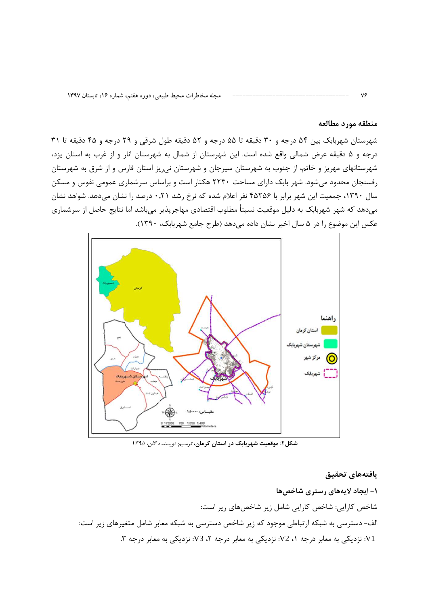#### منطقه مورد مطالعه

 $V \hat{z}$ 

شهرستان شهربابک بین ۵۴ درجه و ۳۰ دقیقه تا ۵۵ درجه و ۵۲ دقیقه طول شرقی و ۲۹ درجه و ۴۵ دقیقه تا ۳۱ درجه و ۵ دقیقه عرض شمالی واقع شده است. این شهرستان از شمال به شهرستان انار و از غرب به استان یزد، شهرستانهای مهریز و خاتم، از جنوب به شهرستان سیرجان و شهرستان نی ریز استان فارس و از شرق به شهرستان رفسنجان محدود میشود. شهر بابک دارای مساحت ۲۲۴۰ هکتار است و براساس سرشماری عمومی نفوس و مسکن سال ۱۳۹۰، جمعیت این شهر برابر با ۴۵۲۵۶ نفر اعلام شده که نرخ رشد ۰٫۲۱ درصد را نشان میدهد. شواهد نشان می،دهد که شهر شهربابک به دلیل موقعیت نسبتاً مطلوب اقتصادی مهاجرپذیر می,باشد اما نتایج حاصل از سرشماری عکس این موضوع را در ۵ سال اخیر نشان داده میدهد (طرح جامع شهربابک، ۱۳۹۰).



شکل۲: موقعیت شهربابک در استان کرمان، ترسیم نویسنده گان، ۱۳۹۵

يافتههاى تحقيق ۱- ایجاد لایههای رستری شاخصها شاخص کارایی: شاخص کارایی شامل زیر شاخصهای زیر است: الف- دسترسی به شبکه ارتباطی موجود که زیر شاخص دسترسی به شبکه معابر شامل متغیرهای زیر است: V1: نزدیکی به معابر درجه ۱، V2: نزدیکی به معابر درجه ۲، V3: نزدیکی به معابر درجه ۳.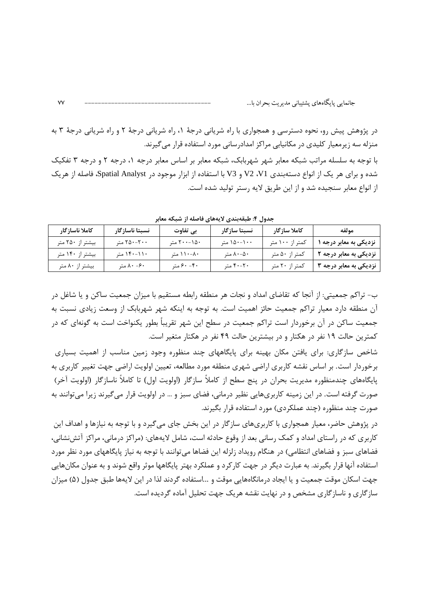در پژوهش پیش رو، نحوه دسترسی و همجواری با راه شریانی درجهٔ ۱، راه شریانی درجهٔ ۲ و راه شریانی درجهٔ ۳ به منزله سه زیرمعیار کلیدی در مکانیابی مراکز امدادرسانی مورد استفاده قرار می گیرند. با توجه به سلسله مراتب شبکه معابر شهر شهربابک، شبکه معابر بر اساس معابر درجه ۰٫ درجه ۲ و درجه ۳ تفکیک شده و برای هر یک از انواع دستهبندی V2 ،V1 و V3 با استفاده از ابزار موجود در Spatial Analyst، فاصله از هریک از انواع معابر سنجیده شد و از این طریق لایه رستر تولید شده است.

جدول ۴: طبقهبندی لایههای فاصله از شبکه معابر

| كاملا ناساز گار  | نسبتا ناسازگار | بي تفاوت    | نسبتا سازگار | كاملا سازگار    | مولفه                  |
|------------------|----------------|-------------|--------------|-----------------|------------------------|
| بیشتر از ۲۵۰ متر | ۲۵۰-۲۰۰ متر    | ۲۰۰-۱۵۰ متر | ۱۵۰-۱۰۰ متر  | کمتر از ۱۰۰ متر | نزدیکی به معابر درجه ۱ |
| بیشتر از ۱۴۰ متر | ۱۱۰-۱۴۰ متر    | ۸۰–۱۱۰ متر  | ۸۰-۵۰ متر    | كمتر از ۵۰ متر  | نزدیکی به معابر درجه ۲ |
| بیشتر از ۸۰ متر  | ۰۶- ۸۰ متر     | ۴۰ - ۶۰ متر | ۴۰-۲۰ متر    | کمتر از ۲۰ متر  | نزدیکی به معابر درجه ۳ |

ب- تراکم جمعیتی: از آنجا که تقاضای امداد و نجات هر منطقه رابطه مستقیم با میزان جمعیت ساکن و یا شاغل در آن منطقه دارد معیار تراکم جمعیت حائز اهمیت است. به توجه به اینکه شهر شهربابک از وسعت زیادی نسبت به جمعیت ساکن در آن برخوردار است تراکم جمعیت در سطح این شهر تقریباً بطور یکنواخت است به گونهای که در کمترین حالت ۱۹ نفر در هکتار و در بیشترین حالت ۴۹ نفر در هکتار متغیر است.

شاخص سازگاری: برای یافتن مکان بهینه برای پایگاههای چند منظوره وجود زمین مناسب از اهمیت بسیاری برخوردار است. بر اساس نقشه کاربری اراضی شهری منطقه مورد مطالعه، تعیین اولویت اراضی جهت تغییر کاربری به پایگاههای چندمنظوره مدیریت بحران در پنج سطح از کاملاً سازگار (اولویت اول) تا کاملاً ناسازگار (اولویت آخر) صورت گرفته است. در این زمینه کاربریهایی نظیر درمانی، فضای سبز و … در اولویت قرار میگیرند زیرا میتوانند به صورت چند منظوره (چند عملکردی) مورد استفاده قرار بگیرند.

در پژوهش حاضر، معیار همجواری با کاربریهای سازگار در این بخش جای میگیرد و با توجه به نیازها و اهداف این کاربری که در راستای امداد و کمک رسانی بعد از وقوع حادثه است، شامل لایههای: (مراکز درمانی، مراکز آتش نشانی، فضاهای سبز و فضاهای انتظامی) در هنگام رویداد زلزله این فضاها می توانند با توجه به نیاز پایگاههای مورد نظر مورد استفاده آنها قرار بگیرند. به عبارت دیگر در جهت کارکرد و عملکرد بهتر پایگاهها موثر واقع شوند و به عنوان مکانهایی جهت اسکان موقت جمعیت و یا ایجاد درمانگاههایی موقت و ...استفاده گردند لذا در این لایهها طبق جدول (۵) میزان سازگاری و ناسازگاری مشخص و در نهایت نقشه هریک جهت تحلیل آماده گردیده است.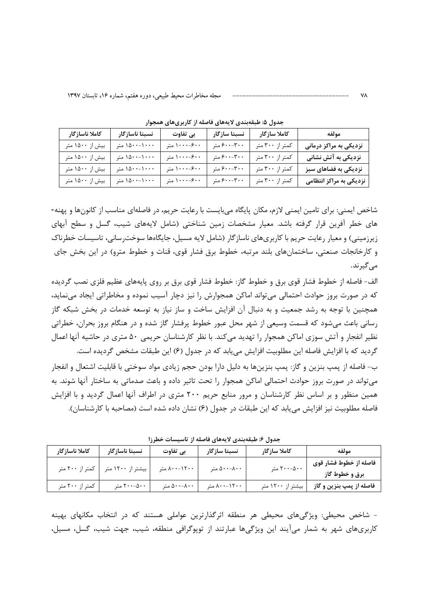| كاملا ناساز گار | نسبتا ناسازگار | بي تفاوت     | نسبتا سازگار    | كاملا سازگار    | مولفه                   |
|-----------------|----------------|--------------|-----------------|-----------------|-------------------------|
| بیش از ۱۵۰۰ متر | ۱۵۰۰-۱۰۰۰ متر  | ۰۰-۶۰۰ متر   | $5.7 - 7.7$ متر | کمتر از ۳۰۰ متر | نزدیکی به مراکز درمانی  |
| بیش از ۱۵۰۰ متر | ۱۵۰۰-۱۰۰۰ متر  | ۰۰-۰-۱۰۰ متر | $5.7 - 7.7$ متر | کمتر از ۳۰۰ متر | نزدیکی به آتش نشانی     |
| بیش از ۱۵۰۰ متر | ۱۵۰۰-۱۰۰۰ متر  | ۰۰-۰-۱۰۰ متر | ۴۰۰-۶۰۰ متر     | کمتر از ۳۰۰ متر | نزدیکی به فضاهای سبز    |
| بیش از ۱۵۰۰ متر | ۱۵۰۰-۱۰۰۰ متر  | ۰۰-۰۰-۱۰ متر | ۴۰۰-۶۰۰ متر     | کمتر از ۳۰۰ متر | نزدیکی به مراکز انتظامی |

جدول ۵: طبقهبندی لایههای فاصله از کاربریهای همجوار

شاخص ایمنی: برای تامین ایمنی لازم، مکان پایگاه می،بایست با رعایت حریم، در فاصلهای مناسب از کانونها و پهنه-های خطر آفرین قرار گرفته باشد. معیار مشخصات زمین شناختی (شامل لایههای شیب، گسل و سطح آبهای زیرزمینی) و معیار رعایت حریم با کاربریهای ناسازگار (شامل لایه مسیل، جایگاهها سوخترسانی، تاسیسات خطرناک و کارخانجات صنعتی، ساختمانهای بلند مرتبه، خطوط برق فشار قوی، قنات و خطوط مترو) در این بخش جای مے گیرند.

الف- فاصله از خطوط فشار قوی برق و خطوط گاز: خطوط فشار قوی برق بر روی پایههای عظیم فلزی نصب گردیده که در صورت بروز حوادث احتمالی می تواند اماکن همجوارش را نیز دچار آسیب نموده و مخاطراتی ایجاد می نماید، همچنین با توجه به رشد جمعیت و به دنبال آن افزایش ساخت و ساز نیاز به توسعه خدمات در بخش شبکه گاز رسانی باعث می شود که قسمت وسیعی از شهر محل عبور خطوط پرفشار گاز شده و در هنگام بروز بحران، خطراتی نظیر انفجار و آتش سوزی اماکن همجوار را تهدید میکند. با نظر کارشناسان حریمی ۵۰ متری در حاشیه آنها اعمال گرديد كه با افزايش فاصله اين مطلوبيت افزايش مي بابد كه در جدول (۶) اين طبقات مشخص گرديده است.

ب- فاصله از پمپ بنزین و گاز: پمپ بنزینها به دلیل دارا بودن حجم زیادی مواد سوختی با قابلیت اشتعال و انفجار می تواند در صورت بروز حوادث احتمالی اماکن همجوار را تحت تاثیر داده و باعث صدماتی به ساختار آنها شوند. به همین منظور و بر اساس نظر کارشناسان و مرور منابع حریم ۲۰۰ متری در اطراف آنها اعمال گردید و با افزایش فاصله مطلوبیت نیز افزایش می یابد که این طبقات در جدول (۶) نشان داده شده است (مصاحبه با کارشناسان).

| بعدون « حبب بعدی الله بعدی حصف از الله میشود به سرا |                                     |                       |              |                                              |                                          |
|-----------------------------------------------------|-------------------------------------|-----------------------|--------------|----------------------------------------------|------------------------------------------|
| كاملا ناسازگار                                      | نسبتا ناسازگار                      | بي تفاوت              | نسبتا سازگار | كاملا سازگار                                 | مولفه                                    |
|                                                     | بیشتر از ۱۲۰۰ متر   کمتر از ۲۰۰ متر | $\lambda$ ۰۰–۱۲۰۰ متر | ۵۰۰-۸۰۰ متر  | $\Gamma \cdot \cdot -\Delta \cdot \cdot$ متر | فاصله از خطوط فشار قوي<br>برق و خطوط گاز |
| کمتر از ۲۰۰ متر                                     | ۰۰- ۲۰۰- متر                        | ۵۰۰-۸۰۰ متر           | ۸۰۰-۱۲۰۰ متر | بیشتر از ۱۲۰۰ متر                            | فاصله از پمپ بنزین و گاز                 |

حدما فيطرقهندم لايههام فإصله از تاسيسات خطيئا

- شاخص محیطی: ویژگیهای محیطی هر منطقه اثرگذارترین عواملی هستند که در انتخاب مکانهای بهینه کاربریهای شهر به شمار میآیند این ویژگیها عبارتند از توپوگرافی منطقه، شیب، جهت شیب، گسل، مسیل،

**VA**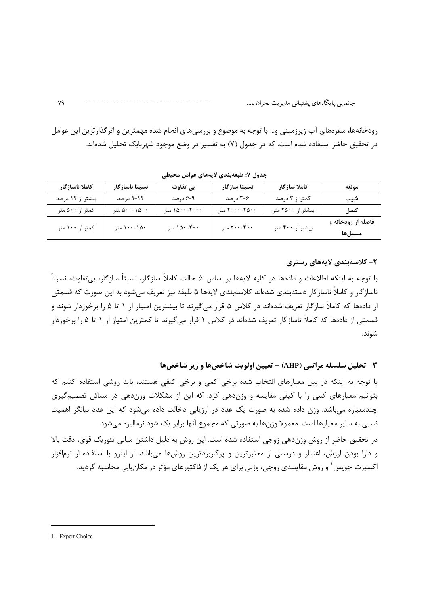رودخانهها، سفرههای آب زیرزمینی و… با توجه به موضوع و بررسیهای انجام شده مهمترین و اثر گذار ترین این عوامل در تحقیق حاضر استفاده شده است. که در جدول (۷) به تفسیر در وضع موجود شهربابک تحلیل شدهاند.

| كاملا ناساز گار  | نسبتا ناسازگار | بي تفاوت      | نسبتا سازگار  | كاملا سازگار      | مولفه              |
|------------------|----------------|---------------|---------------|-------------------|--------------------|
| بیشتر از ۱۲ درصد | ۰۱۲-۹ درصد     | ۹-۶ درصد      | ۳-۶ درصد      | کمتر از ۳ درصد    | شيب                |
| کمتر از ۵۰۰ متر  | ۵۰۰-۱۵۰۰ متر   | ۱۵۰۰-۲۰۰۰ متر | ۲۰۰۰-۲۵۰۰ متر | بیشتر از ۲۵۰۰ متر | گسل                |
| کمتر از ۱۰۰ متر  | ۱۵۰-۱۰۰ متر    | ۲۰۰–۱۵۰ متر   | ۲۰۰-۴۰۰ متر   | بیشتر از ۴۰۰ متر  | فاصله از رودخانه و |
|                  |                |               |               |                   | مسيلها             |

جدول ٧: طبقهبندي لايههاي عوامل محيطي

#### ۲– کلاسهبندی لایههای رستری

با توجه به اینکه اطلاعات و دادهها در کلیه لایهها بر اساس ۵ حالت کاملاً سازگار، نسبتاً سازگار، بیتفاوت، نسبتاً ناسازگار و کاملاً ناسازگار دستهبندی شدهاند کلاسهبندی لایهها ۵ طبقه نیز تعریف می،شود به این صورت که قسمتی از دادهها که کاملاً سازگار تعریف شدهاند در کلاس ۵ قرار میگیرند تا بیشترین امتیاز از ۱ تا ۵ را برخوردار شوند و قسمتی از دادهها که کاملاً ناسازگار تعریف شدهاند در کلاس ۱ قرار میگیرند تا کمترین امتیاز از ۱ تا ۱٫۵ برخوردار شوند.

۳- تحلیل سلسله مراتبی (AHP) - تعیین اولویت شاخصها و زیر شاخصها

با توجه به اینکه در بین معیارهای انتخاب شده برخی کمی و برخی کیفی هستند، باید روشی استفاده کنیم که بتوانیم معیارهای کمی را با کیفی مقایسه و وزندهی کرد. که این از مشکلات وزندهی در مسائل تصمیمگیری چندمعیاره میباشد. وزن داده شده به صورت یک عدد در ارزیابی دخالت داده میشود که این عدد بیانگر اهمیت نسبی به سایر معیارها است. معمولا وزنها به صورتی که مجموع آنها برابر یک شود نرمالیزه میشود. در تحقیق حاضر از روش وزندهی زوجی استفاده شده است. این روش به دلیل داشتن مبانی تئوریک قوی، دقت بالا و دارا بودن ارزش، اعتبار و درستی از معتبرترین و پرکاربردترین روشها میباشد. از اینرو با استفاده از نرمافزار

اکسپرت چویس ٰ و روش مقایسهی زوجی، وزنی برای هر یک از فاکتورهای مؤثر در مکان یابی محاسبه گردید.

٧٩

<sup>1 -</sup> Expert Choice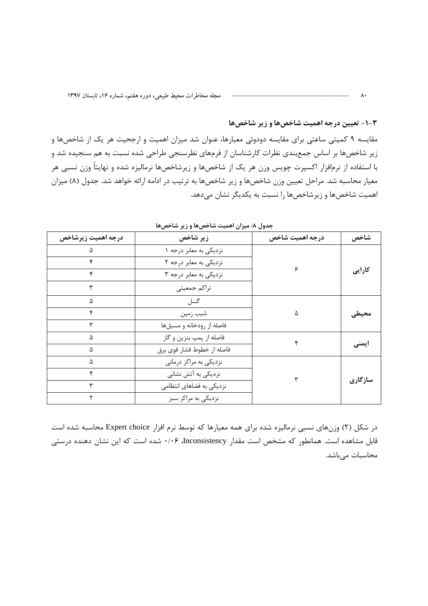مجله مخاطرات محيط طبيعي، دوره هفتم، شماره ۱۶، تابستان ۱۳۹۷

#### **۳-۱- تعیین درجه اهمیت شاخصها و زیر شاخصها**

 $\wedge\cdot$ 

مقایسه ۹ کمیتی ساعتی برای مقایسه دودوئی معیارها، عنوان شد میزان اهمیت و ارجحیت هر یک از شاخصها و زیر شاخصها بر اساس جمعبندی نظرات کارشناسان از فرمهای نظرسنجی طراحی شده نسبت به هم سنجیده شد و با استفاده از نرمافزار اکسپرت چویس وزن هر یک از شاخصها و زیرشاخصها نرمالیزه شده و نهایتاً وزن نسبی هر معیار محاسبه شد. مراحل تعیین وزن شاخصها و زیر شاخصها به ترتیب در ادامه ارائه خواهد شد. جدول (۸) میزان اهمیت شاخصها و زیرشاخصها را نسبت به یکدیگر نشان می دهد.

| درجه اهميت زيرشاخص | زير شاخص                   | درجه اهميت شاخص | شاخص    |
|--------------------|----------------------------|-----------------|---------|
|                    | نزديكي به معابر درجه ١     |                 |         |
|                    | نزدیکی به معابر درجه ۲     |                 |         |
|                    | نزدیکی به معابر درجه ۳     |                 | كارايي  |
|                    | تراكم جمعيتي               |                 |         |
|                    | گسل                        |                 |         |
| ۴                  | شيب زمين                   | ۵               | محيطى   |
|                    | فاصله از رودخانه و مسیلها  |                 |         |
|                    | فاصله از پمپ بنزين و گاز   |                 |         |
| Δ                  | فاصله از خطوط فشار قوى برق |                 | ایمنی   |
|                    | نزدیکی به مراکز درمانی     |                 |         |
| ۴                  | نزدیکی به آتش نشانی        |                 |         |
|                    | نزدیکی به فضاهای انتظامی   |                 | سازگاری |
|                    | نزدیکی به مراکز سبز        |                 |         |

جدول ٨: ميزان اهميت شاخصها و زير شاخصها

در شکل (۲) وزنهای نسبی نرمالیزه شده برای همه معیارها که توسط نرم افزار Expert choice محاسبه شده است قابل مشاهده است. همانطور که مشخص است مقدار Inconsistency، ۱۰۶۶ شده است که این نشان دهنده درستی محاسبات میباشد.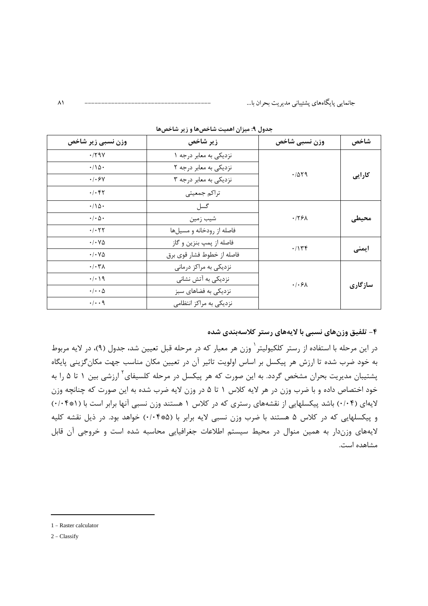| وزن نسبی زیر شاخص                       | زير شاخص                   | وزن نسبي شاخص                  | شاخص    |
|-----------------------------------------|----------------------------|--------------------------------|---------|
| .79V                                    | نزديكي به معابر درجه ١     |                                |         |
| $\cdot/\Delta$ .                        | نزدیکی به معابر درجه ۲     |                                |         |
| .1.5V                                   | نزدیکی به معابر درجه ۳     | .7079                          | كارايي  |
| .1.57                                   | تراكم جمعيتي               |                                |         |
| $\cdot/\Delta$ .                        | گسل                        |                                |         |
| $\cdot/\cdot \Delta \cdot$              | شيب زمين                   | .775 <sub>A</sub>              | محيطى   |
| $\cdot$ / $\cdot$ $\uparrow$ $\uparrow$ | فاصله از رودخانه و مسیلها  |                                |         |
| $\cdot$ / $\cdot$ $\vee$ $\Delta$       | فاصله از پمپ بنزين و گاز   | .715                           | ایمنی   |
| $\cdot$ / $\cdot$ $\vee$ $\Delta$       | فاصله از خطوط فشار قوي برق |                                |         |
| $\cdot/\cdot \tau$                      | نزدیکی به مراکز درمانی     |                                |         |
| $\cdot/\cdot\setminus q$                | نزدیکی به آتش نشانی        | $\cdot$ / $\cdot$ $\epsilon$ / |         |
| $\cdot/\cdot\cdot\Delta$                | نزدیکی به فضاهای سبز       |                                | سازگاری |
| $\cdot/\cdot\cdot$ 9                    | نزدیکی به مراکز انتظامی    |                                |         |

جدول ۹: میزان اهمیت شاخصها و زیر شاخصها

۴- تلفیق وزنهای نسبی با لایههای رستر کلاسهبندی شده

در این مرحله با استفاده از رستر کلکیولیتر<sup>٬</sup> وزن هر معیار که در مرحله قبل تعیین شد، جدول (۹)، در لایه مربوط به خود ضرب شده تا ارزش هر پیکسل بر اساس اولویت تاثیر آن در تعیین مکان مناسب جهت مکان گزینی پایگاه پشتیبان مدیریت بحران مشخص گردد. به این صورت که هر پیکسل در مرحله کلسیفای<sup>۲</sup> ارزشی بین ۱ تا ۵ را به خود اختصاص داده و با ضرب وزن در هر لایه کلاس ۱ تا ۵ در وزن لایه ضرب شده به این صورت که چنانچه وزن لایهای (۰/۰۴) باشد پیکسلهایی از نقشههای رستری که در کلاس ۱ هستند وزن نسبی آنها برابر است با (۰/۰۴\*۰) و پیکسلهایی که در کلاس ۵ هستند با ضرب وزن نسبی لایه برابر با (۰/۰۴۰۵) خواهد بود. در ذیل نقشه کلیه لایههای وزندار به همین منوال در محیط سیستم اطلاعات جغرافیایی محاسبه شده است و خروجی آن قابل مشاهده است.

 $\lambda$ 

<sup>1 -</sup> Raster calculator

 $2 - Classify$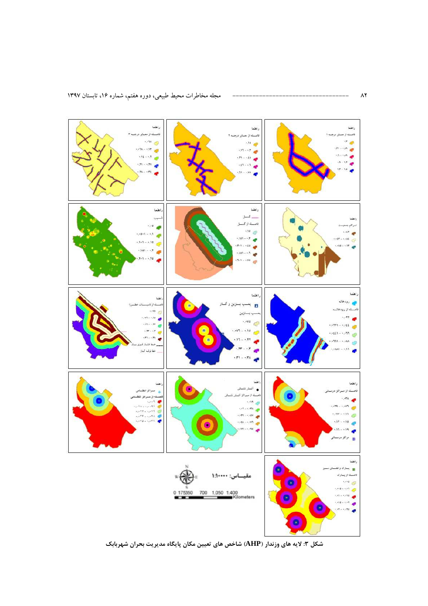

شکل ۳: لایه های وزندار (AHP) شاخص های تعیین مکان پایگاه مدیریت بحران شهربابک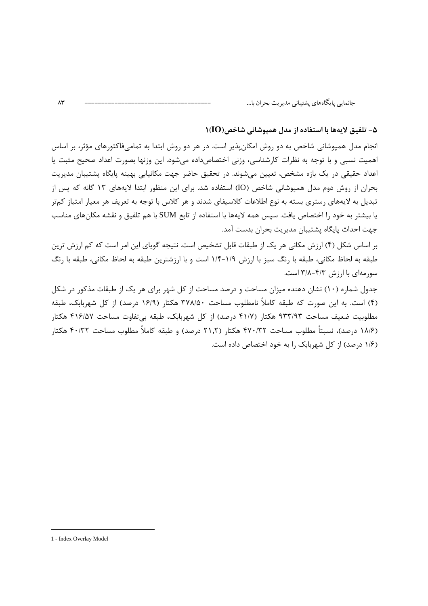#### 1- تلفيق لايهها با استفاده از مدل هميوشاني شاخص( $\mathbf{O}(t)$

انجام مدل همپوشانی شاخص به دو روش امکان پذیر است. در هر دو روش ابتدا به تمامیفاکتورهای مؤثر، بر اساس اهمیت نسبی و با توجه به نظرات کارشناسی، وزنی اختصاصداده میشود. این وزنها بصورت اعداد صحیح مثبت یا اعداد حقیقی در یک بازه مشخص، تعیین می شوند. در تحقیق حاضر جهت مکانیایی بهینه پایگاه پشتیبان مدیریت بحران از روش دوم مدل همپوشانی شاخص (IO) استفاده شد. برای این منظور ابتدا لایههای ۱۳ گانه که پس از تبدیل به لایههای رستری بسته به نوع اطلاعات کلاسیفای شدند و هر کلاس با توجه به تعریف هر معیار امتیاز کمتر یا بیشتر به خود را اختصاص یافت. سیس همه لایهها با استفاده از تابع SUM با هم تلفیق و نقشه مکانهای مناسب جهت احداث پایگاه پشتیبان مدیریت بحران بدست آمد.

بر اساس شکل (۴) ارزش مکانی هر یک از طبقات قابل تشخیص است. نتیجه گویای این امر است که کم ارزش ترین طبقه به لحاظ مكاني، طبقه با رنگ سبز با ارزش ١/٩-١/٤ است و با ارزشترين طبقه به لحاظ مكاني، طبقه با رنگ سورمهای با ارزش ۴/۳–۳/۸ است.

جدول شماره (۱۰) نشان دهنده میزان مساحت و درصد مساحت از کل شهر برای هر یک از طبقات مذکور در شکل (۴) است. به این صورت که طبقه کاملاً نامطلوب مساحت ۳۷۸/۵۰ هکتار (۱۶/۹ درصد) از کل شهربابک، طبقه مطلوبیت ضعیف مساحت ۹۳۳/۹۳ هکتار (۴۱/۷ درصد) از کل شهربابک، طبقه بی تفاوت مساحت ۴۱۶/۵۷ هکتار (۱۸/۶ درصد)، نسبتاً مطلوب مساحت ۴۷۰/۳۲ هکتار (۲۱٫۲ درصد) و طبقه کاملاً مطلوب مساحت ۴۰/۳۲ هکتار (۱/۶ درصد) از کل شهربابک را به خود اختصاص داده است.

 $\Lambda \mathsf{r}$ 

<sup>1 -</sup> Index Overlay Model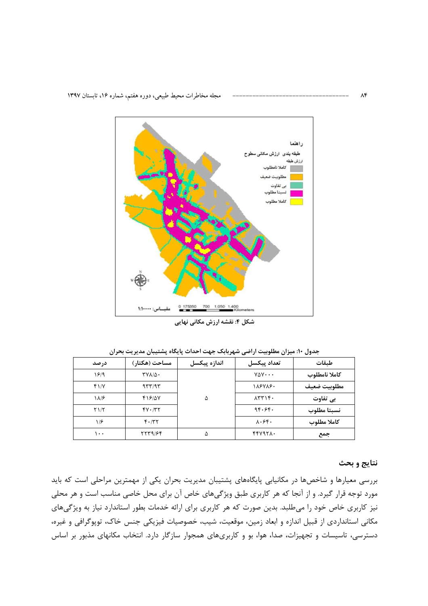

\_\_\_<br>شکل ۴: نقشه ارزش مکانی نهایی

جدول ۱۰: میزان مطلوبیت اراضی شهربابک جهت احداث پایگاه پشتیبان مدیریت بحران

| در صد | مساحت (هکتار)         | اندازه پيکسل | تعداد ييكسل                                           | طىقات         |
|-------|-----------------------|--------------|-------------------------------------------------------|---------------|
| 1819  | $TVA/\Delta$ .        |              | $V\Delta V \cdot \cdot \cdot$                         | كاملا نامطلوب |
| $f\$  | 957/95                |              | 188788.                                               | مطلوبيت ضعيف  |
| ۱۸۱۶  | 418/0V                | ۵            | $\lambda$ $\uparrow$ $\uparrow$ $\uparrow$ $\uparrow$ | بي تفاوت      |
| Y1/T  | $fV \cdot / \nabla f$ |              | 96.96.                                                | نسبتا مطلوب   |
| ۱۱۶   | $F \cdot / T$         |              | $\lambda \cdot \xi$ f.                                | كاملا مطلوب   |
| ۱۰۰   | 7759/64               | ۵            | <b>FFV971.</b>                                        | جمع           |

نتايج و بحث

بررسی معیارها و شاخصها در مکانیابی پایگاههای پشتیبان مدیریت بحران یکی از مهمترین مراحلی است که باید مورد توجه قرار گیرد. و از آنجا که هر کاربری طبق ویژگیهای خاص آن برای محل خاصی مناسب است و هر محلی نیز کاربری خاص خود را میطلبد. بدین صورت که هر کاربری برای ارائه خدمات بطور استاندارد نیاز به ویژگیهای مکانی استانداردی از قبیل اندازه و ابعاد زمین، موقعیت، شیب، خصوصیات فیزیکی جنس خاک، توپوگرافی و غیره، دسترسی، تاسیسات و تجهیزات، صدا، هوا، بو و کاربریهای همجوار سازگار دارد. انتخاب مکانهای مذبور بر اساس

 $\Lambda$ ۴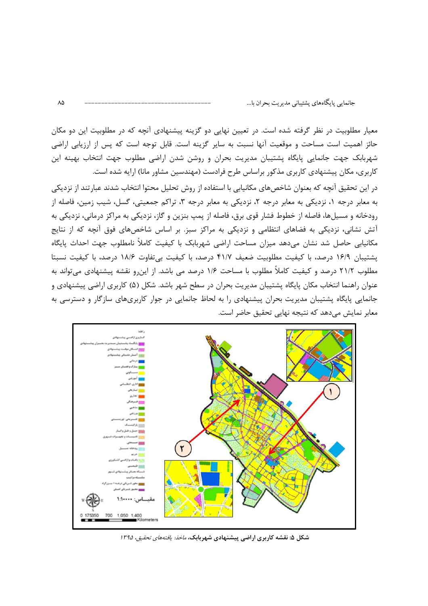معیار مطلوبیت در نظر گرفته شده است. در تعیین نهایی دو گزینه پیشنهادی آنچه که در مطلوبیت این دو مکان حائز اهمیت است مساحت و موقعیت آنها نسبت به سایر گزینه است. قابل توجه است که پس از ارزیابی اراضی شهربابک جهت جانمایی پایگاه پشتیبان مدیریت بحران و روشن شدن اراضی مطلوب جهت انتخاب بهینه این کاربری، مکان پیشنهادی کاربری مذکور براساس طرح فرادست (مهندسین مشاور مانا) ارایه شده است.

در این تحقیق آنچه که بعنوان شاخصهای مکانیایی با استفاده از روش تحلیل محتوا انتخاب شدند عبارتند از نزدیکی به معابر درجه ۱، نزدیکی به معابر درجه ۲، نزدیکی به معابر درجه ۳، تراکم جمعیتی، گسل، شیب زمین، فاصله از رودخانه و مسیلها، فاصله از خطوط فشار قوی برق، فاصله از پمپ بنزین و گاز، نزدیکی به مراکز درمانی، نزدیکی به آتش نشانی، نزدیکی به فضاهای انتظامی و نزدیکی به مراکز سبز. بر اساس شاخصهای فوق آنچه که از نتایج مکانیابی حاصل شد نشان میدهد میزان مساحت اراضی شهربابک با کیفیت کاملاً نامطلوب جهت احداث پایگاه پشتیبان ۱۶/۹ درصد، با کیفیت مطلوبیت ضعیف ۴۱/۷ درصد، با کیفیت بی تفاوت ۱۸/۶ درصد، با کیفیت نسبتا مطلوب ٢١/٢ درصد و کیفیت کاملاً مطلوب با مساحت ١/۶ درصد می باشد. از این٫و نقشه پیشنهادی میٍتواند به عنوان راهنما انتخاب مکان پایگاه پشتیبان مدیریت بحران در سطح شهر باشد. شکل (۵) کاربری اراضی پیشنهادی و جانمایی پایگاه پشتیبان مدیریت بحران پیشنهادی را به لحاظ جانمایی در جوار کاربریهای سازگار و دسترسی به معابر نمایش می دهد که نتیجه نهایی تحقیق حاضر است.



شکل ۵: نقشه کاربری اراضی پیشنهادی شهربابک، *ماخذ: یافتههای تحقیق، ۱۳۹۵*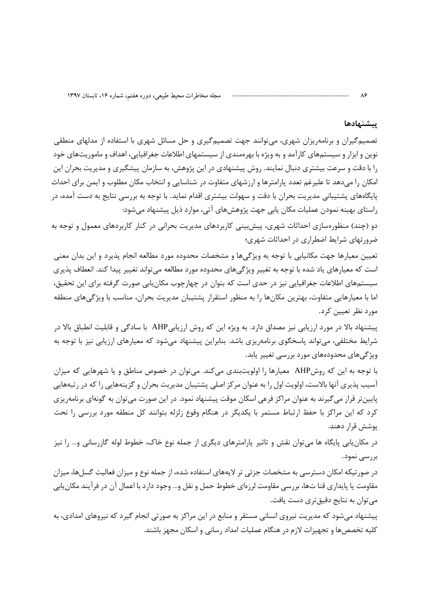#### يتشنهادها

تصمیم گیران و برنامهریزان شهری، می توانند جهت تصمیم گیری و حل مسائل شهری با استفاده از مدلهای منطقی نوین و ابزار و سیستمهای کارآمد و به ویژه با بهرهمندی از سیستمهای اطلاعات جغرافیایی، اهداف و ماموریتهای خود را با دقت و سرعت بیشتری دنبال نمایند. روش پیشنهادی در این پژوهش، به سازمان پیشگیری و مدیریت بحران این امکان را میدهد تا علیرغم تعدد پارامترها و ارزشهای متفاوت در شناسایی و انتخاب مکان مطلوب و ایمن برای احداث پایگاههای پشتیبانی مدیریت بحران با دقت و سهولت بیشتری اقدام نماید. با توجه به بررسی نتایج به دست آمده، در راستای بهینه نمودن عملیات مکان پابی جهت پژوهشهای آتی، موارد ذیل پیشنهاد می شود:

دو (چند) منظورهسازی احداثات شهری، پیشبینی کاربردهای مدیریت بحرانی در کنار کاربردهای معمول و توجه به ضرور تهای شرایط اضطراری در احداثات شهری؛

تعیین معیارها جهت مکانیابی با توجه به ویژگیها و مشخصات محدوده مورد مطالعه انجام پذیرد و این بدان معنی است که معیارهای یاد شده با توجه به تغییر ویژگیهای محدوده مورد مطالعه میتواند تغییر پیدا کند. انعطاف پذیری سیستمهای اطلاعات جغرافیایی نیز در حدی است که بتوان در چهارچوب مکان پایی صورت گرفته برای این تحقیق، اما با معیارهایی متفاوت، بهترین مکانها را به منظور استقرار پشتیبان مدیریت بحران، مناسب با ویژگیهای منطقه مورد نظر تعیین کرد.

پیشنهاد بالا در مورد ارزیابی نیز مصداق دارد. به ویژه این که روش ارزیابیAHP با سادگی و قابلیت انطباق بالا در شرایط مختلفی، میتواند پاسخگوی برنامهریزی باشد. بنابراین پیشنهاد میشود که معیارهای ارزیابی نیز با توجه به ویژگی های محدودههای مورد بررسی تغییر یابد.

با توجه به این که روشAHP معیارها را اولویتبندی میکند. میتوان در خصوص مناطق و یا شهرهایی که میزان آسیب پذیری آنها بالاست، اولویت اول را به عنوان مرکز اصلی پشتیبان مدیریت بحران و گزینههایی را که در رتبههایی پایینتر قرار می گیرند به عنوان مراکز فرعی اسکان موقت پیشنهاد نمود. در این صورت میتوان به گونهای برنامهریزی کرد که این مراکز با حفظ ارتباط مستمر با یکدیگر در هنگام وقوع زلزله بتوانند کل منطقه مورد بررسی را تحت يوشش قرار دهند.

در مکان یابی پایگاه ها می توان نقش و تاثیر پارامترهای دیگری از جمله نوع خاک، خطوط لوله گازرسانی و… را نیز بررسي نمود.

در صورتیکه امکان دسترسی به مشخصات جزئی تر لایههای استفاده شده، از جمله نوع و میزان فعالیت گسلها، میزان مقاومت یا پایداری قنا تھا، بررسی مقاومت لرزەای خطوط حمل و نقل و… وجود دارد با اعمال آن در فرآیند مکان یابی مے توان به نتایج دقیق تری دست یافت.

پیشنهاد می شود که مدیریت نیروی انسانی مستقر و منابع در این مراکز به صورتی انجام گیرد که نیروهای امدادی، به كليه تخصصها و تجهيزات لازم در هنگام عمليات امداد رساني و اسكان مجهز باشند.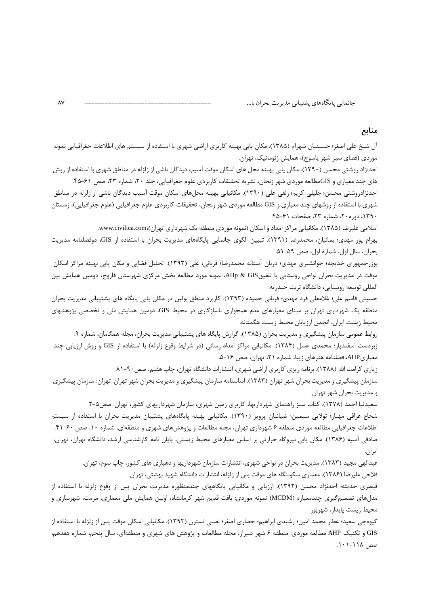#### منابع

آل شیخ علی اصغر؛ حسینیان شهرام (۱۳۸۵). مکان پایی بهینه کاربری اراضی شهری با استفاده از سیستم های اطلاعات جغرافیایی نمونه موردی (فضای سبز شهر یاسوج)، همایش ژئوماتیک، تهران.

احدنژاد روشتی محسن (۱۳۹۰). مکان پایی بهینه محل های اسکان موقت آسیب دیدگان ناشی از زلزله در مناطق شهری با استفاده از روش های چند معیاری و GISمطالعه موردی شهر زنجان، نشریه تحقیقات کاربردی علوم جغرافیایی، جلد ۲۰، شماره ۲۳، صص ۶۱-۴۵.

احدنژادروشتی محسن؛ جلیلی کریم؛ زلفی علی (۱۳۹۰). مکانیابی بهینه محل های اسکان موقت آسیب دیدگان ناشی از زلزله در مناطق شهری با استفاده از روشهای چند معیاری و GIS مطالعه موردی شهر زنجان، تحقیقات کاربردی علوم جغرافیایی (علوم جغرافیایی)، زمستان ۱۳۹۰، دوره ۲۰، شماره ۲۳، صفحات ۶۱–۴۵.

اسلامی علیرضا (۱۳۸۵). مکانیایی مراکز امداد و اسکان (نمونه موردی منطقه یک شهرداری تهران).www.civilica.com.

بهرام پور مهدی؛ بمانیان، محمدرضا (۱۳۹۱). تبیین الگوی جانمایی پایگاههای مدیریت بحران با استفاده از GIS، دوفصلنامه مدیریت بحران، سال اول، شماره اول، صص ۵۹-۵۱.

بوزرجمهوری خدیجه؛ جوانشیری مهدی؛ دربان آستانه محمدرضا؛ قربانی، علی (۱۳۹۳). تحلیل فضایی و مکان پابی بهینه مراکز اسکان موقت در مدیریت بحران نواحی روستایی با تلفیقAHp & GIS، نمونه مورد مطالعه بخش مرکزی شهرستان فاروج، دومین همایش بین المللي توسعه روستايي، دانشگاه تربت حيدريه.

حسینی قاسم علی؛ غلامعلی فرد مهدی؛ قربانی حمیده (۱۳۹۳). کاربرد منطق بولین در مکان پابی پایگاه های پشتیبانی مدیریت بحران منطقه یک شهرداری تهران بر مبنای معیارهای عدم همجواری ناسازگاری در محیط GIS، دومین همایش ملی و تخصصی پژوهشهای محيط زيست ايران، انجمن ارزيابان محيط زيست هگمتانه.

روابط عمومی سازمان پیشگیری و مدیریت بحران (۱۳۸۵). گزارش پایگاه های پشتیبانی مدیریت بحران، مجله همگامان، شماره ۹. زبردست اسفندیار؛ محمدی عسل (۱۳۸۴). مکانیابی مراکز امداد رسانی (در شرایط وقوع زلزله) با استفاده از GIS و روش ارزیابی چند معیاریAHP، فصلنامه هنرهای زیبا، شماره ٢١، تهران، صص ١۶-۵.

زیاری کرامت الله (۱۳۸۸). برنامه ریزی کاربری اراضی شهری، انتشارات دانشگاه تهران، چاپ هفتم. صص ۹۰-۸۱

سازمان پیشگیری و مدیریت بحران شهر تهران (۱۳۸۳). اساسنامه سازمان پیشگیری و مدیریت بحران شهر تهران. تهران: سازمان پیشگیری و مديريت بحران شهر تهران.

سعیدنیا احمد (۱۳۷۸). کتاب سبز راهنمای شهرداریها، کاربری زمین شهری، سازمان شهرداریهای کشور، تهران. صص۵-۲ شجاع عراقی مهناز؛ تولایی سیمین؛ ضیائیان پرویز (۱۳۹۰). مکانیابی بهینه پایگاههای پشتیبان مدیریت بحران با استفاده از سیستم اطلاعات جغرافیایی مطالعه موردی منطقه ۶ شهرداری تهران، مجله مطالعات و پژوهشهای شهری و منطقهای، شماره ۱۰، صص ۶۰-۴۱. صادقی آسیه (۱۳۸۶). مکان پابی نیروگاه حرارتی بر اساس معیارهای محیط زیستی، پایان نامه کارشناسی ارشد، دانشگاه تهران، تهران، ايران.

عبدالهی مجید (۱۳۸۳). مدیریت بحران در نواحی شهری، انتشارات سازمان شهرداریها و دهیاری های کشور، چاپ سوم، تهران. فلاحی علیرضا (۱۳۸۶). معماری سکونتگاه های موقت پس از زلزله، انتشارات دانشگاه شهید بهشتی، تهران.

قیصری حدیثه؛ احدنژاد محسن (۱۳۹۲). ارزیابی و مکانیابی پایگاههای چندمنظوره مدیریت بحران پس از وقوع زلزله با استفاده از مدلهای تصمیمگیری چندمعیاره (MCDM) نمونه موردی: بافت قدیم شهر کرمانشاه، اولین همایش ملی معماری، مرمت، شهرسازی و محيط زيست يايدار، شهريور.

گیوهچی سعید؛ عطار محمد امین؛ رشیدی ابراهیم؛ حصاری اصغر؛ نصبی نسترن (۱۳۹۲). مکانیابی اسکان موقت پس از زلزله با استفاده از GIS و تكنيك AHP مطالعه موردي: منطقه ۶ شهر شيراز، مجله مطالعات و پژوهش هاي شهري و منطقهاي، سال پنجم، شماره هفدهم، صص ۱۱۸–۱۰۱.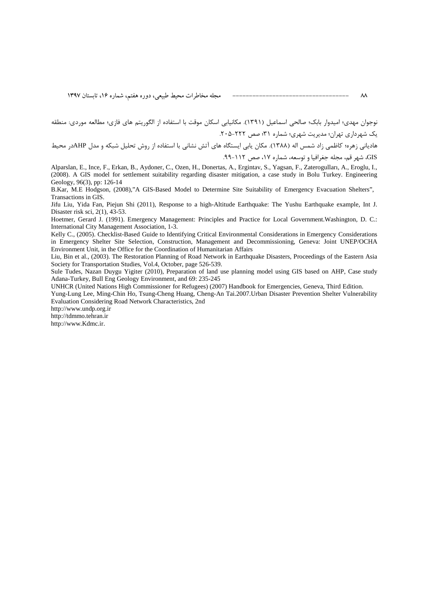نوجوان مهدي؛ اميدوار بابک؛ صالحي اسماعيل (١٣٩١). مكانيابي اسكان موقت با استفاده از الگوريتم هاي فازي؛ مطالعه موردي: منطقه یک شهرداری تهران؛ مدیریت شهری؛ شماره ۳۱؛ صص ۲۲۲-۲۰۵. هادیانی زهره؛ کاظمی زاد شمس اله (۱۳۸۸). مکان یابی ایستگاه های آتش نشانی با استفاده از روش تحلیل شبکه و مدل AHPدر محیط GIS، شهر قم، مجله جغرافيا و توسعه، شماره ۱۷، صص ۱۱۲-۹۹.

Alparslan, E., Ince, F., Erkan, B., Aydoner, C., Ozen, H., Donertas, A., Ergintav, S., Yagsan, F., Zaterogulları, A., Eroglu, I., (2008). A GIS model for settlement suitability regarding disaster mitigation, a case study in Bolu Turkey. Engineering Geology, 96(3), pp: 126-14

B.Kar, M.E. Hodgson, (2008),"A GIS-Based Model to Determine Site Suitability of Emergency Evacuation Shelters", Transactions in GIS.

Jifu Liu, Yida Fan, Piejun Shi (2011), Response to a high-Altitude Earthquake: The Yushu Earthquake example, Int J. Disaster risk sci, 2(1), 43-53.

Hoetmer, Gerard J. (1991). Emergency Management: Principles and Practice for Local Government. Washington, D. C.: International City Management Association, 1-3.

Kelly C., (2005). Checklist-Based Guide to Identifying Critical Environmental Considerations in Emergency Considerations in Emergency Shelter Site Selection, Construction, Management and Decommissioning, Geneva: Joint UNEP/OCHA Environment Unit, in the Office for the Coordination of Humanitarian Affairs

Liu, Bin et al., (2003). The Restoration Planning of Road Network in Earthquake Disasters, Proceedings of the Eastern Asia Society for Transportation Studies, Vol.4, October, page 526-539.

Sule Tudes, Nazan Duygu Yigiter (2010), Preparation of land use planning model using GIS based on AHP, Case study Adana-Turkey, Bull Eng Geology Environment, and 69: 235-245

UNHCR (United Nations High Commissioner for Refugees) (2007) Handbook for Emergencies, Geneva, Third Edition.

Yung-Lung Lee, Ming-Chin Ho, Tsung-Cheng Huang, Cheng-An Tai.2007. Urban Disaster Prevention Shelter Vulnerability Evaluation Considering Road Network Characteristics, 2nd

http://www.undp.org.ir

http://tdmmo.tehran.ir

http://www.Kdmc.ir.